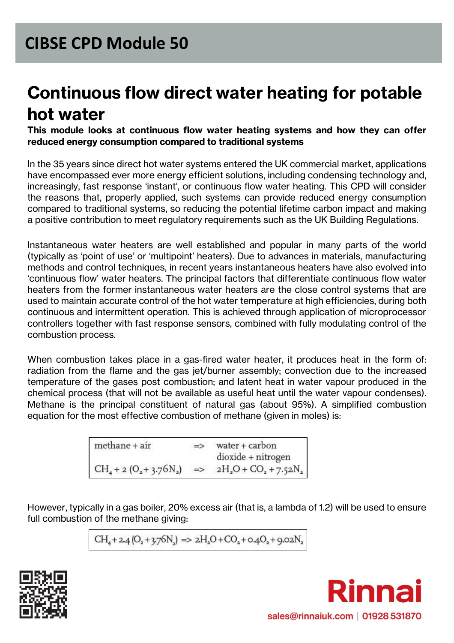# **Continuous flow direct water heating for potable hot water**

#### **This module looks at continuous flow water heating systems and how they can offer reduced energy consumption compared to traditional systems**

In the 35 years since direct hot water systems entered the UK commercial market, applications have encompassed ever more energy efficient solutions, including condensing technology and, increasingly, fast response 'instant', or continuous flow water heating. This CPD will consider the reasons that, properly applied, such systems can provide reduced energy consumption compared to traditional systems, so reducing the potential lifetime carbon impact and making a positive contribution to meet regulatory requirements such as the UK Building Regulations.

Instantaneous water heaters are well established and popular in many parts of the world (typically as 'point of use' or 'multipoint' heaters). Due to advances in materials, manufacturing methods and control techniques, in recent years instantaneous heaters have also evolved into 'continuous flow' water heaters. The principal factors that differentiate continuous flow water heaters from the former instantaneous water heaters are the close control systems that are used to maintain accurate control of the hot water temperature at high efficiencies, during both continuous and intermittent operation. This is achieved through application of microprocessor controllers together with fast response sensors, combined with fully modulating control of the combustion process.

When combustion takes place in a gas-fired water heater, it produces heat in the form of: radiation from the flame and the gas jet/burner assembly; convection due to the increased temperature of the gases post combustion; and latent heat in water vapour produced in the chemical process (that will not be available as useful heat until the water vapour condenses). Methane is the principal constituent of natural gas (about 95%). A simplified combustion equation for the most effective combustion of methane (given in moles) is:

| $methane + air$ | $\Rightarrow$ | $water + carbon$                                       |
|-----------------|---------------|--------------------------------------------------------|
|                 |               | dioxide + nitrogen                                     |
|                 |               | $CH_4 + 2 (O_2 + 3.76N_2)$ => $2H_2O + CO_2 + 7.52N_2$ |

However, typically in a gas boiler, 20% excess air (that is, a lambda of 1.2) will be used to ensure full combustion of the methane giving:

$$
CH_4 + 2.4\,(O_{_2} + 3.76 N_{_2})\Rightarrow 2H_{_2}O + CO_{_2} + o.4O_{_2} + 9.02 N_{_2}
$$



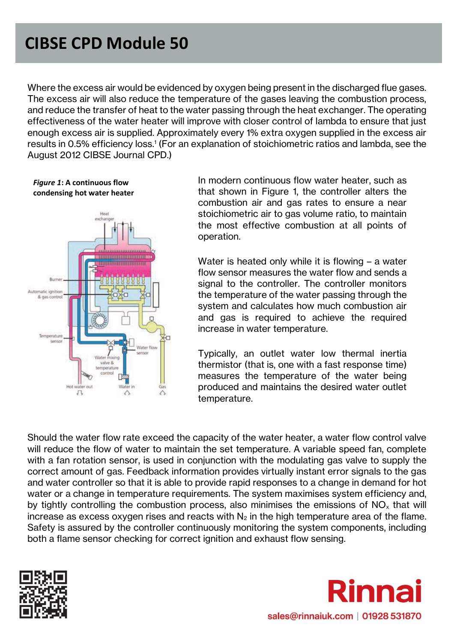Where the excess air would be evidenced by oxygen being present in the discharged flue gases. The excess air will also reduce the temperature of the gases leaving the combustion process, and reduce the transfer of heat to the water passing through the heat exchanger. The operating effectiveness of the water heater will improve with closer control of lambda to ensure that just enough excess air is supplied. Approximately every 1% extra oxygen supplied in the excess air results in 0.5% efficiency loss.<sup>1</sup> (For an explanation of stoichiometric ratios and lambda, see the August 2012 CIBSE Journal CPD.)

*Figure 1***: A continuous flow condensing hot water heater**



In modern continuous flow water heater, such as that shown in Figure 1, the controller alters the combustion air and gas rates to ensure a near stoichiometric air to gas volume ratio, to maintain the most effective combustion at all points of operation.

Water is heated only while it is flowing – a water flow sensor measures the water flow and sends a signal to the controller. The controller monitors the temperature of the water passing through the system and calculates how much combustion air and gas is required to achieve the required increase in water temperature.

Typically, an outlet water low thermal inertia thermistor (that is, one with a fast response time) measures the temperature of the water being produced and maintains the desired water outlet temperature.

Should the water flow rate exceed the capacity of the water heater, a water flow control valve will reduce the flow of water to maintain the set temperature. A variable speed fan, complete with a fan rotation sensor, is used in conjunction with the modulating gas valve to supply the correct amount of gas. Feedback information provides virtually instant error signals to the gas and water controller so that it is able to provide rapid responses to a change in demand for hot water or a change in temperature requirements. The system maximises system efficiency and, by tightly controlling the combustion process, also minimises the emissions of  $NO<sub>x</sub>$  that will increase as excess oxygen rises and reacts with  $N_2$  in the high temperature area of the flame. Safety is assured by the controller continuously monitoring the system components, including both a flame sensor checking for correct ignition and exhaust flow sensing.



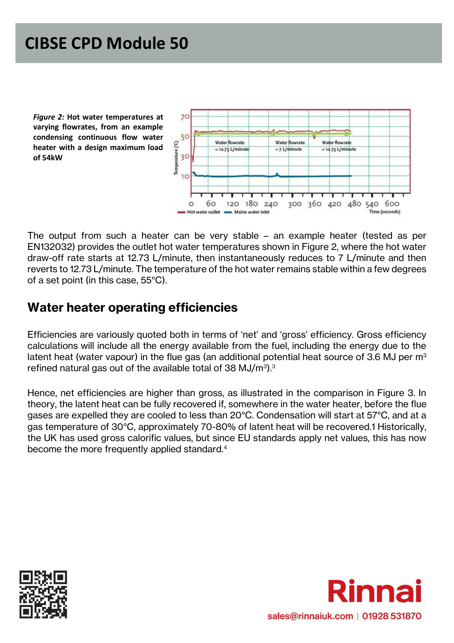*Figure 2:* **Hot water temperatures at varying flowrates, from an example condensing continuous flow water heater with a design maximum load of 54kW**



The output from such a heater can be very stable – an example heater (tested as per EN132032) provides the outlet hot water temperatures shown in Figure 2, where the hot water draw-off rate starts at 12.73 L/minute, then instantaneously reduces to 7 L/minute and then reverts to 12.73 L/minute. The temperature of the hot water remains stable within a few degrees of a set point (in this case, 55°C).

#### **Water heater operating efficiencies**

Efficiencies are variously quoted both in terms of 'net' and 'gross' efficiency. Gross efficiency calculations will include all the energy available from the fuel, including the energy due to the latent heat (water vapour) in the flue gas (an additional potential heat source of 3.6 MJ per  $m<sup>3</sup>$ refined natural gas out of the available total of 38 MJ/m $^{\rm 3)}$ . $^{\rm 3}$ 

Hence, net efficiencies are higher than gross, as illustrated in the comparison in Figure 3. In theory, the latent heat can be fully recovered if, somewhere in the water heater, before the flue gases are expelled they are cooled to less than 20°C. Condensation will start at 57°C, and at a gas temperature of 30°C, approximately 70-80% of latent heat will be recovered.1 Historically, the UK has used gross calorific values, but since EU standards apply net values, this has now become the more frequently applied standard.<sup>4</sup>



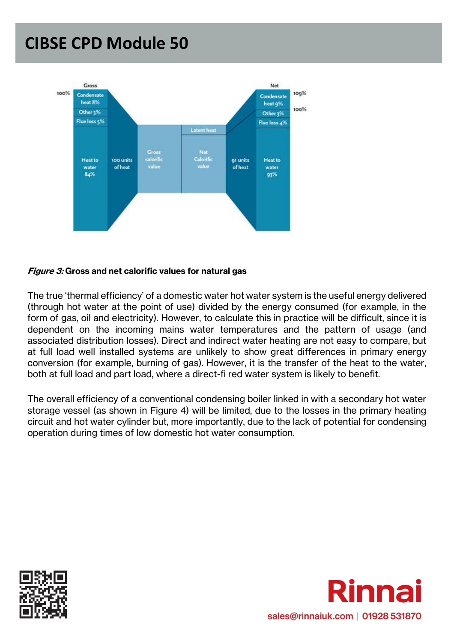

#### **Figure 3: Gross and net calorific values for natural gas**

The true 'thermal efficiency' of a domestic water hot water system is the useful energy delivered (through hot water at the point of use) divided by the energy consumed (for example, in the form of gas, oil and electricity). However, to calculate this in practice will be difficult, since it is dependent on the incoming mains water temperatures and the pattern of usage (and associated distribution losses). Direct and indirect water heating are not easy to compare, but at full load well installed systems are unlikely to show great differences in primary energy conversion (for example, burning of gas). However, it is the transfer of the heat to the water, both at full load and part load, where a direct-fi red water system is likely to benefit.

The overall efficiency of a conventional condensing boiler linked in with a secondary hot water storage vessel (as shown in Figure 4) will be limited, due to the losses in the primary heating circuit and hot water cylinder but, more importantly, due to the lack of potential for condensing operation during times of low domestic hot water consumption.



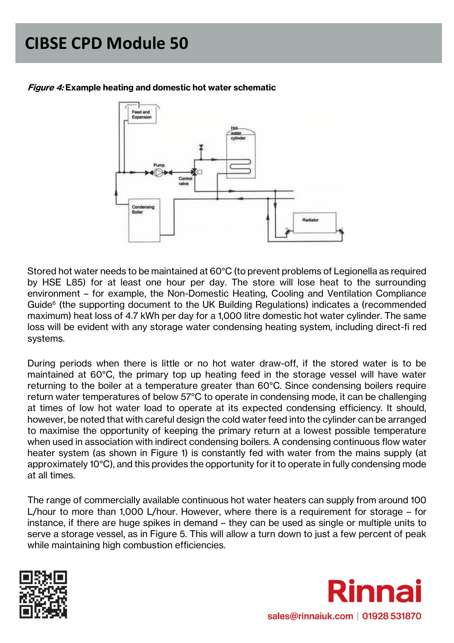

#### **Figure 4: Example heating and domestic hot water schematic**

Stored hot water needs to be maintained at 60°C (to prevent problems of Legionella as required by HSE L85) for at least one hour per day. The store will lose heat to the surrounding environment – for example, the Non-Domestic Heating, Cooling and Ventilation Compliance Guide<sup>6</sup> (the supporting document to the UK Building Regulations) indicates a (recommended maximum) heat loss of 4.7 kWh per day for a 1,000 litre domestic hot water cylinder. The same loss will be evident with any storage water condensing heating system, including direct-fi red systems.

During periods when there is little or no hot water draw-off, if the stored water is to be maintained at 60°C, the primary top up heating feed in the storage vessel will have water returning to the boiler at a temperature greater than 60°C. Since condensing boilers require return water temperatures of below 57°C to operate in condensing mode, it can be challenging at times of low hot water load to operate at its expected condensing efficiency. It should, however, be noted that with careful design the cold water feed into the cylinder can be arranged to maximise the opportunity of keeping the primary return at a lowest possible temperature when used in association with indirect condensing boilers. A condensing continuous flow water heater system (as shown in Figure 1) is constantly fed with water from the mains supply (at approximately 10°C), and this provides the opportunity for it to operate in fully condensing mode at all times.

The range of commercially available continuous hot water heaters can supply from around 100 L/hour to more than 1,000 L/hour. However, where there is a requirement for storage – for instance, if there are huge spikes in demand – they can be used as single or multiple units to serve a storage vessel, as in Figure 5. This will allow a turn down to just a few percent of peak while maintaining high combustion efficiencies.



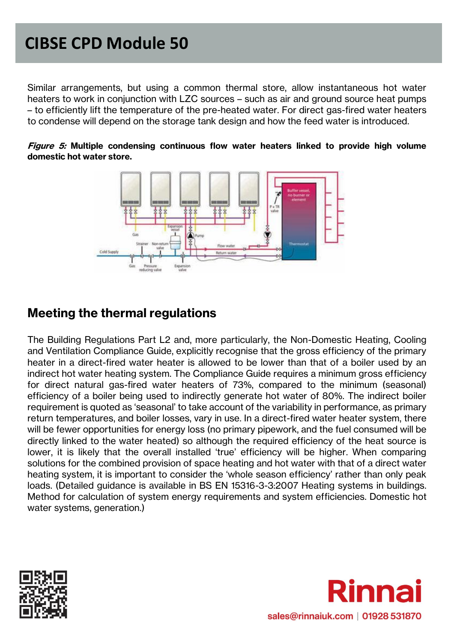Similar arrangements, but using a common thermal store, allow instantaneous hot water heaters to work in conjunction with LZC sources – such as air and ground source heat pumps – to efficiently lift the temperature of the pre-heated water. For direct gas-fired water heaters to condense will depend on the storage tank design and how the feed water is introduced.



**Figure 5: Multiple condensing continuous flow water heaters linked to provide high volume domestic hot water store.**

#### **Meeting the thermal regulations**

The Building Regulations Part L2 and, more particularly, the Non-Domestic Heating, Cooling and Ventilation Compliance Guide, explicitly recognise that the gross efficiency of the primary heater in a direct-fired water heater is allowed to be lower than that of a boiler used by an indirect hot water heating system. The Compliance Guide requires a minimum gross efficiency for direct natural gas-fired water heaters of 73%, compared to the minimum (seasonal) efficiency of a boiler being used to indirectly generate hot water of 80%. The indirect boiler requirement is quoted as 'seasonal' to take account of the variability in performance, as primary return temperatures, and boiler losses, vary in use. In a direct-fired water heater system, there will be fewer opportunities for energy loss (no primary pipework, and the fuel consumed will be directly linked to the water heated) so although the required efficiency of the heat source is lower, it is likely that the overall installed 'true' efficiency will be higher. When comparing solutions for the combined provision of space heating and hot water with that of a direct water heating system, it is important to consider the 'whole season efficiency' rather than only peak loads. (Detailed guidance is available in BS EN 15316-3-3:2007 Heating systems in buildings. Method for calculation of system energy requirements and system efficiencies. Domestic hot water systems, generation.)